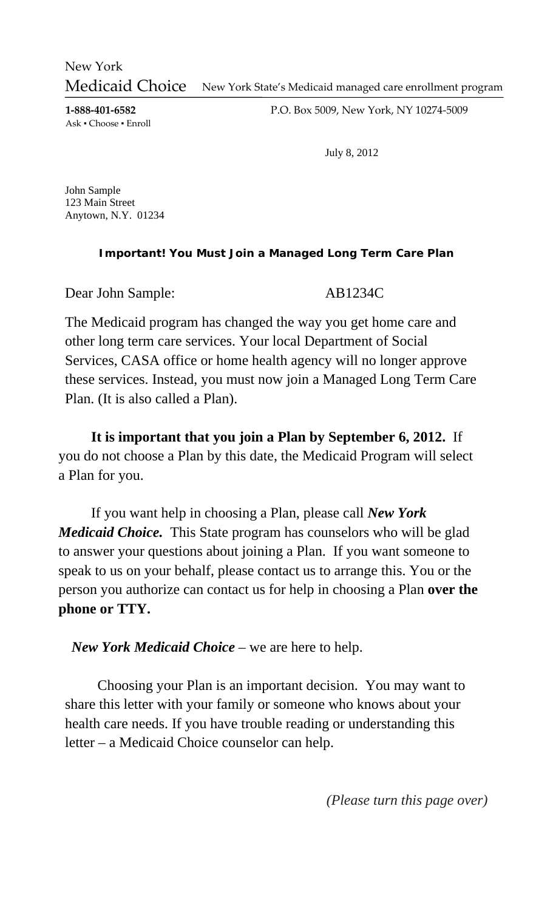New York State's Medicaid managed care enrollment program New York Medicaid Choice

**1‐888‐401‐6582** Ask ▪ Choose ▪ Enroll P.O. Box 5009, New York, NY 10274‐5009

July 8, 2012

John Sample 123 Main Street Anytown, N.Y. 01234

## **Important! You Must Join a Managed Long Term Care Plan**

Dear John Sample: AB1234C

The Medicaid program has changed the way you get home care and other long term care services. Your local Department of Social Services, CASA office or home health agency will no longer approve these services. Instead, you must now join a Managed Long Term Care Plan. (It is also called a Plan).

**It is important that you join a Plan by September 6, 2012.** If you do not choose a Plan by this date, the Medicaid Program will select a Plan for you.

If you want help in choosing a Plan, please call *New York Medicaid Choice.* This State program has counselors who will be glad to answer your questions about joining a Plan. If you want someone to speak to us on your behalf, please contact us to arrange this. You or the person you authorize can contact us for help in choosing a Plan **over the phone or TTY.**

*New York Medicaid Choice* – we are here to help.

 Choosing your Plan is an important decision. You may want to share this letter with your family or someone who knows about your health care needs. If you have trouble reading or understanding this letter – a Medicaid Choice counselor can help.

*(Please turn this page over)*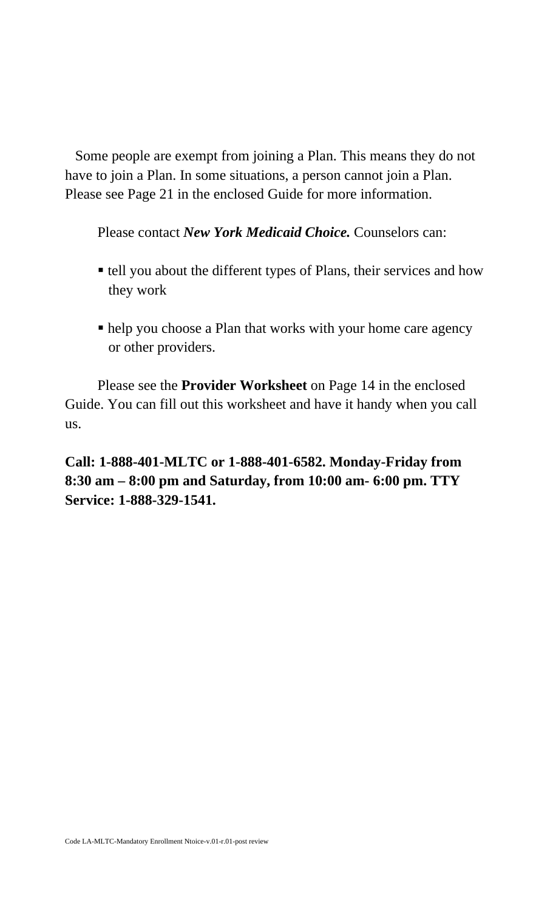Some people are exempt from joining a Plan. This means they do not have to join a Plan. In some situations, a person cannot join a Plan. Please see Page 21 in the enclosed Guide for more information.

Please contact *New York Medicaid Choice.* Counselors can:

- tell you about the different types of Plans, their services and how they work
- help you choose a Plan that works with your home care agency or other providers.

 Please see the **Provider Worksheet** on Page 14 in the enclosed Guide. You can fill out this worksheet and have it handy when you call us.

**Call: 1-888-401-MLTC or 1-888-401-6582. Monday-Friday from 8:30 am – 8:00 pm and Saturday, from 10:00 am- 6:00 pm. TTY Service: 1-888-329-1541.**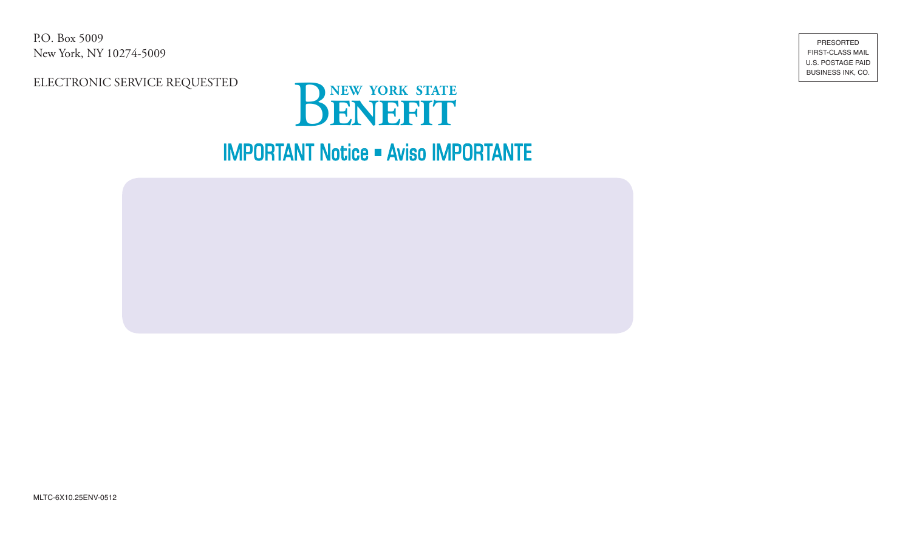P.O. Box 5009 New York, NY 10274-5009

ELECTRONIC SERVICE REQUESTED



**IMPORTANT Notice - Aviso IMPORTANTE** 



PRESORTED **FIRST-CLASS MAIL** U.S. POSTAGE PAID BUSINESS INK, CO.